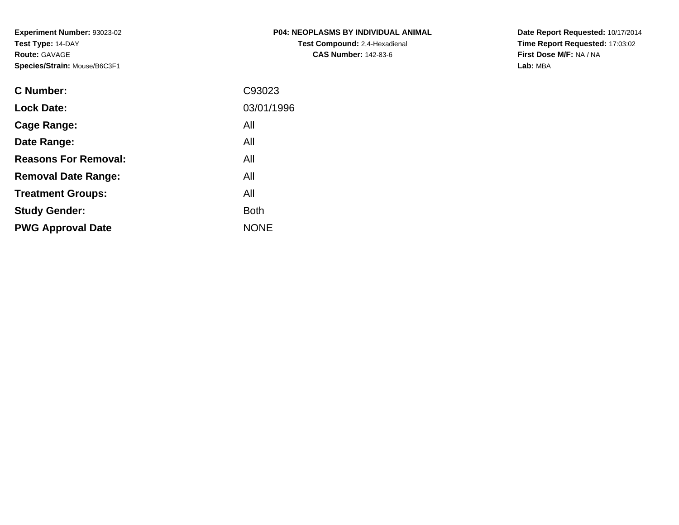| <b>P04: NEOPLASMS BY INDIVIDUAL ANIMAL</b> |
|--------------------------------------------|
| <b>Test Compound: 2,4-Hexadienal</b>       |
| <b>CAS Number: 142-83-6</b>                |

**Date Report Requested:** 10/17/2014 **Time Report Requested:** 17:03:02**First Dose M/F:** NA / NA**Lab:** MBA

| <b>C</b> Number:            | C93023      |
|-----------------------------|-------------|
| <b>Lock Date:</b>           | 03/01/1996  |
| Cage Range:                 | All         |
| Date Range:                 | All         |
| <b>Reasons For Removal:</b> | All         |
| <b>Removal Date Range:</b>  | All         |
| <b>Treatment Groups:</b>    | All         |
| <b>Study Gender:</b>        | <b>Both</b> |
| <b>PWG Approval Date</b>    | <b>NONE</b> |
|                             |             |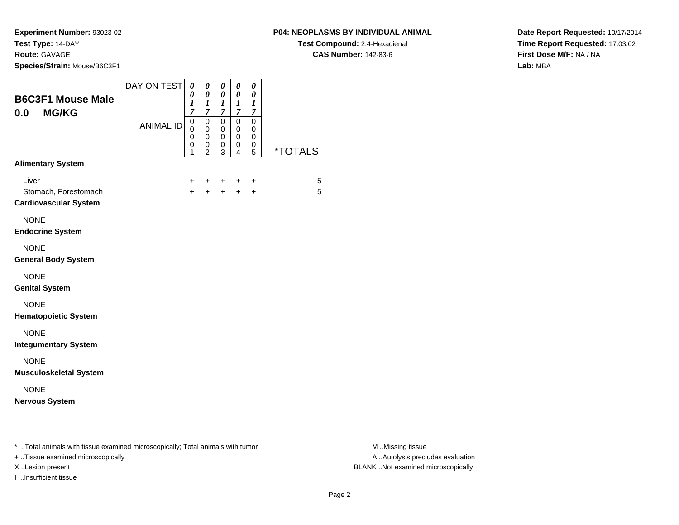**Experiment Number:** 93023-02**Test Type:** 14-DAY

# **Route:** GAVAGE

**Species/Strain:** Mouse/B6C3F1

## **P04: NEOPLASMS BY INDIVIDUAL ANIMAL**

**Test Compound:** 2,4-Hexadienal **CAS Number:** 142-83-6

**Date Report Requested:** 10/17/2014**Time Report Requested:** 17:03:02**First Dose M/F:** NA / NA**Lab:** MBA

| <b>B6C3F1 Mouse Male</b><br><b>MG/KG</b><br>0.0                                                                     | DAY ON TEST      | 0<br>0<br>$\boldsymbol{l}$<br>7                               | 0<br>0<br>1<br>7                                                 | 0<br>0<br>$\boldsymbol{l}$<br>$\overline{7}$        | 0<br>0<br>1<br>7      | 0<br>0<br>$\boldsymbol{l}$<br>7 |                       |
|---------------------------------------------------------------------------------------------------------------------|------------------|---------------------------------------------------------------|------------------------------------------------------------------|-----------------------------------------------------|-----------------------|---------------------------------|-----------------------|
|                                                                                                                     | <b>ANIMAL ID</b> | $\mathbf 0$<br>$\mathbf 0$<br>$\mathbf 0$<br>$\mathbf 0$<br>1 | $\mathbf 0$<br>$\mathbf 0$<br>$\mathbf 0$<br>0<br>$\overline{2}$ | $\mathbf 0$<br>$\mathbf 0$<br>$\mathbf 0$<br>0<br>3 | 0<br>0<br>0<br>0<br>4 | 0<br>0<br>0<br>0<br>5           | <i><b>*TOTALS</b></i> |
| <b>Alimentary System</b>                                                                                            |                  |                                                               |                                                                  |                                                     |                       |                                 |                       |
| Liver<br>Stomach, Forestomach<br><b>Cardiovascular System</b>                                                       |                  | +<br>$\ddot{}$                                                | +<br>$\ddot{}$                                                   | +<br>$+$                                            | $+$                   | +<br>$+$                        | 5<br>5                |
| <b>NONE</b><br><b>Endocrine System</b>                                                                              |                  |                                                               |                                                                  |                                                     |                       |                                 |                       |
| <b>NONE</b><br><b>General Body System</b>                                                                           |                  |                                                               |                                                                  |                                                     |                       |                                 |                       |
| <b>NONE</b><br><b>Genital System</b>                                                                                |                  |                                                               |                                                                  |                                                     |                       |                                 |                       |
| <b>NONE</b><br><b>Hematopoietic System</b>                                                                          |                  |                                                               |                                                                  |                                                     |                       |                                 |                       |
| <b>NONE</b><br><b>Integumentary System</b>                                                                          |                  |                                                               |                                                                  |                                                     |                       |                                 |                       |
| <b>NONE</b><br><b>Musculoskeletal System</b>                                                                        |                  |                                                               |                                                                  |                                                     |                       |                                 |                       |
| <b>NONE</b><br><b>Nervous System</b>                                                                                |                  |                                                               |                                                                  |                                                     |                       |                                 |                       |
| * Total animals with tissue examined microscopically; Total animals with tumor<br>+ Tissue examined microscopically |                  |                                                               |                                                                  |                                                     |                       |                                 |                       |

I ..Insufficient tissue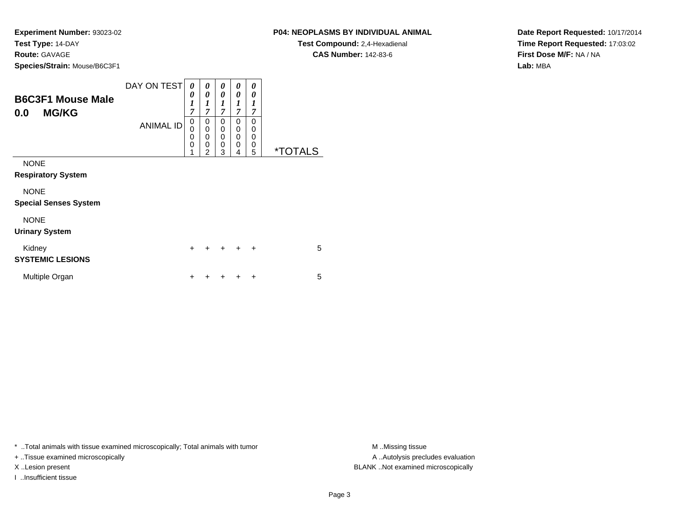**Species/Strain:** Mouse/B6C3F1

**B6C3F1 Mouse Male**

| DAY ON TEST      | 0 | 0 | 0 | $\boldsymbol{\theta}$ | 0 |   |
|------------------|---|---|---|-----------------------|---|---|
|                  | 0 | 0 | 0 | 0                     | 0 |   |
|                  |   |   |   |                       |   |   |
|                  | 7 | ⇁ | 7 | 7                     | ⇁ |   |
| <b>ANIMAL ID</b> | 0 | 0 | 0 | 0                     | 0 |   |
|                  | 0 | 0 | 0 | 0                     | U |   |
|                  | 0 | 0 | 0 | 0                     | 0 |   |
|                  | 0 | 0 | 0 | 0                     | 0 |   |
|                  |   | ◠ | 3 |                       | 5 | × |

NONE

**Respiratory System**

**0.0 MG/KG**

NONE

**Special Senses System**

#### NONE

**Urinary System**

| Kidney<br><b>SYSTEMIC LESIONS</b> |  | + + + + + |  | 5 |
|-----------------------------------|--|-----------|--|---|
| Multiple Organ                    |  | + + + + + |  | 5 |

\* ..Total animals with tissue examined microscopically; Total animals with tumor **M** ..Missing tissue M ..Missing tissue

+ ..Tissue examined microscopically

I ..Insufficient tissue

A .. Autolysis precludes evaluation X ..Lesion present BLANK ..Not examined microscopically

**P04: NEOPLASMS BY INDIVIDUAL ANIMALTest Compound:** 2,4-Hexadienal

**CAS Number:** 142-83-6

**Date Report Requested:** 10/17/2014**Time Report Requested:** 17:03:02**First Dose M/F:** NA / NA**Lab:** MBA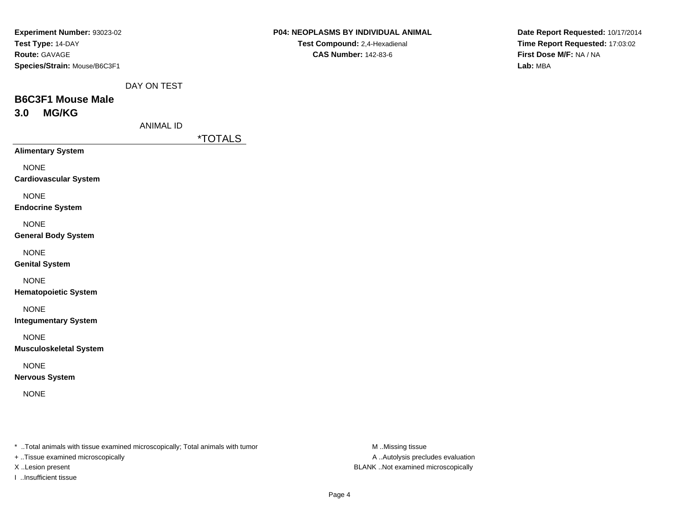| Experiment Number: 93023-02  |
|------------------------------|
| Test Type: 14-DAY            |
| <b>Route: GAVAGE</b>         |
| Species/Strain: Mouse/B6C3F1 |

DAY ON TEST

# **B6C3F1 Mouse Male3.0 MG/KG**

ANIMAL ID

\*TOTALS

**Alimentary System**

NONE

**Cardiovascular System**

NONE

**Endocrine System**

NONE

**General Body System**

NONE

**Genital System**

NONE

**Hematopoietic System**

NONE

**Integumentary System**

NONE

**Musculoskeletal System**

NONE

**Nervous System**

NONE

\* ..Total animals with tissue examined microscopically; Total animals with tumor **M** ..Missing tissue M ..Missing tissue

+ ..Tissue examined microscopically

I ..Insufficient tissue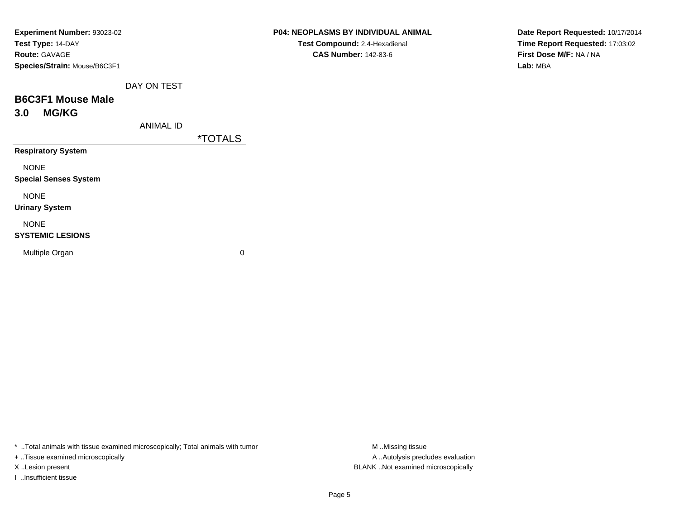| Experiment Number: 93023-02  |
|------------------------------|
| Test Type: 14-DAY            |
| <b>Route: GAVAGE</b>         |
| Species/Strain: Mouse/B6C3F1 |

DAY ON TEST

# **B6C3F1 Mouse Male3.0 MG/KG**

ANIMAL ID

\*TOTALS

**Respiratory System**

NONE

**Special Senses System**

NONE

**Urinary System**

#### NONE

#### **SYSTEMIC LESIONS**

Multiple Organ

 $\mathbf n$  0

\* ..Total animals with tissue examined microscopically; Total animals with tumor **M** ...Missing tissue M ...Missing tissue

+ ..Tissue examined microscopically

I ..Insufficient tissue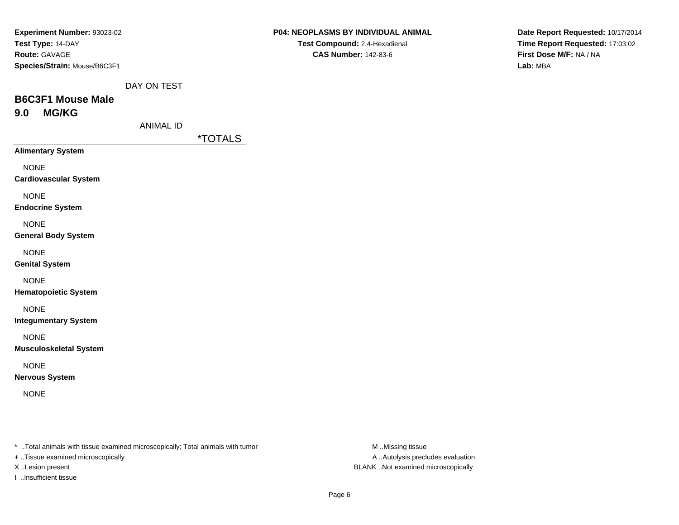| Experiment Number: 93023-02  |
|------------------------------|
| Test Type: 14-DAY            |
| <b>Route: GAVAGE</b>         |
| Species/Strain: Mouse/B6C3F1 |

DAY ON TEST

# **B6C3F1 Mouse Male9.0 MG/KG**

ANIMAL ID

\*TOTALS

**Alimentary System**

NONE

**Cardiovascular System**

NONE

**Endocrine System**

NONE

**General Body System**

NONE

**Genital System**

NONE

**Hematopoietic System**

NONE

**Integumentary System**

NONE

**Musculoskeletal System**

NONE

**Nervous System**

NONE

\* ..Total animals with tissue examined microscopically; Total animals with tumor **M** ..Missing tissue M ..Missing tissue

+ ..Tissue examined microscopically

I ..Insufficient tissue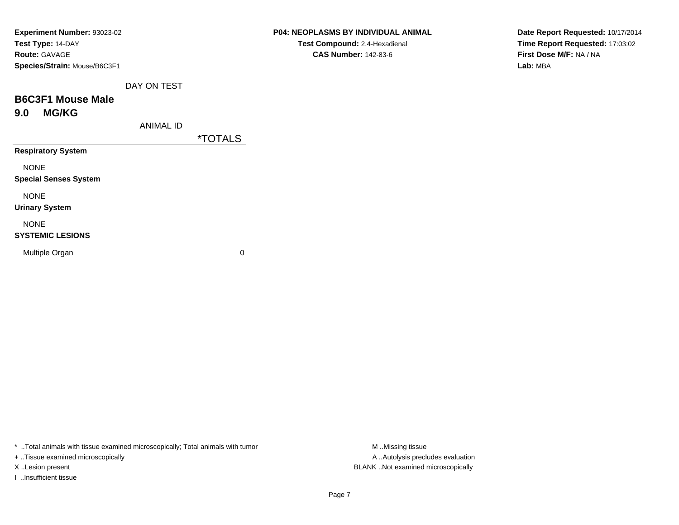| Experiment Number: 93023-02  |  |
|------------------------------|--|
| Test Type: 14-DAY            |  |
| <b>Route: GAVAGE</b>         |  |
| Species/Strain: Mouse/B6C3F1 |  |

| P04: NEOPLASMS BY INDIVIDUAL ANIMAL  |
|--------------------------------------|
| <b>Test Compound: 2,4-Hexadienal</b> |
| <b>CAS Number: 142-83-6</b>          |

DAY ON TEST

# **B6C3F1 Mouse Male9.0 MG/KG**

ANIMAL ID

\*TOTALS

**Respiratory System**

NONE

**Special Senses System**

NONE

**Urinary System**

#### NONE

#### **SYSTEMIC LESIONS**

Multiple Organ

 $\mathbf n$  0

\* ..Total animals with tissue examined microscopically; Total animals with tumor **M** . Missing tissue M ..Missing tissue

+ ..Tissue examined microscopically

I ..Insufficient tissue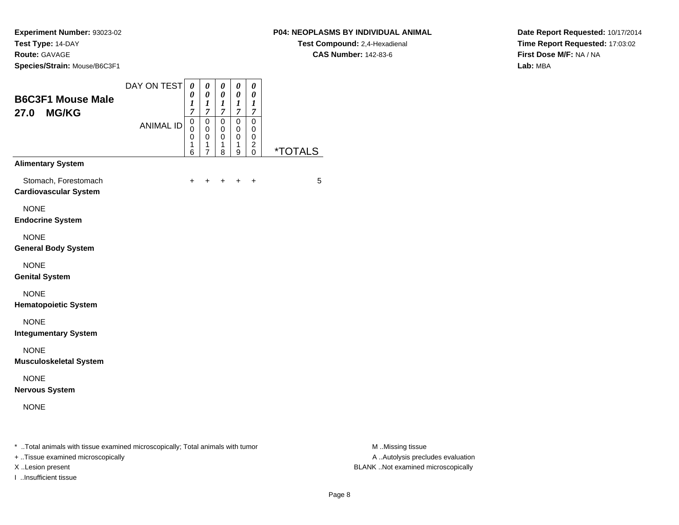#### **P04: NEOPLASMS BY INDIVIDUAL ANIMAL**

**Test Compound:** 2,4-Hexadienal **CAS Number:** 142-83-6

**Date Report Requested:** 10/17/2014**Time Report Requested:** 17:03:02**First Dose M/F:** NA / NA**Lab:** MBA

| <b>B6C3F1 Mouse Male</b><br><b>MG/KG</b><br>27.0     | DAY ON TEST      | $\theta$<br>0<br>1<br>7         | 0<br>0<br>$\boldsymbol{l}$<br>$\overline{7}$         | 0<br>$\boldsymbol{\theta}$<br>$\boldsymbol{l}$<br>$\overline{7}$ | $\pmb{\theta}$<br>0<br>$\boldsymbol{l}$<br>$\overline{7}$ | 0<br>0<br>$\boldsymbol{l}$<br>$\overline{7}$ |                       |
|------------------------------------------------------|------------------|---------------------------------|------------------------------------------------------|------------------------------------------------------------------|-----------------------------------------------------------|----------------------------------------------|-----------------------|
|                                                      | <b>ANIMAL ID</b> | 0<br>0<br>$\mathbf 0$<br>1<br>6 | $\mathbf 0$<br>0<br>$\mathbf 0$<br>$\mathbf{1}$<br>7 | $\mathbf 0$<br>0<br>$\mathbf 0$<br>1<br>8                        | 0<br>0<br>$\mathbf 0$<br>1<br>9                           | $\mathbf 0$<br>0<br>0<br>$\overline{c}$<br>0 | <i><b>*TOTALS</b></i> |
| <b>Alimentary System</b>                             |                  |                                 |                                                      |                                                                  |                                                           |                                              |                       |
| Stomach, Forestomach<br><b>Cardiovascular System</b> |                  | $\pm$                           | $\pm$                                                | $\pm$                                                            | $+$                                                       | $\ddot{}$                                    | 5                     |
| <b>NONE</b><br><b>Endocrine System</b>               |                  |                                 |                                                      |                                                                  |                                                           |                                              |                       |
| <b>NONE</b><br><b>General Body System</b>            |                  |                                 |                                                      |                                                                  |                                                           |                                              |                       |
| <b>NONE</b><br><b>Genital System</b>                 |                  |                                 |                                                      |                                                                  |                                                           |                                              |                       |
| <b>NONE</b><br><b>Hematopoietic System</b>           |                  |                                 |                                                      |                                                                  |                                                           |                                              |                       |
| <b>NONE</b><br><b>Integumentary System</b>           |                  |                                 |                                                      |                                                                  |                                                           |                                              |                       |
| <b>NONE</b><br><b>Musculoskeletal System</b>         |                  |                                 |                                                      |                                                                  |                                                           |                                              |                       |
| <b>NONE</b><br><b>Nervous System</b>                 |                  |                                 |                                                      |                                                                  |                                                           |                                              |                       |
| <b>NONE</b>                                          |                  |                                 |                                                      |                                                                  |                                                           |                                              |                       |

+ ..Tissue examined microscopically

I ..Insufficient tissue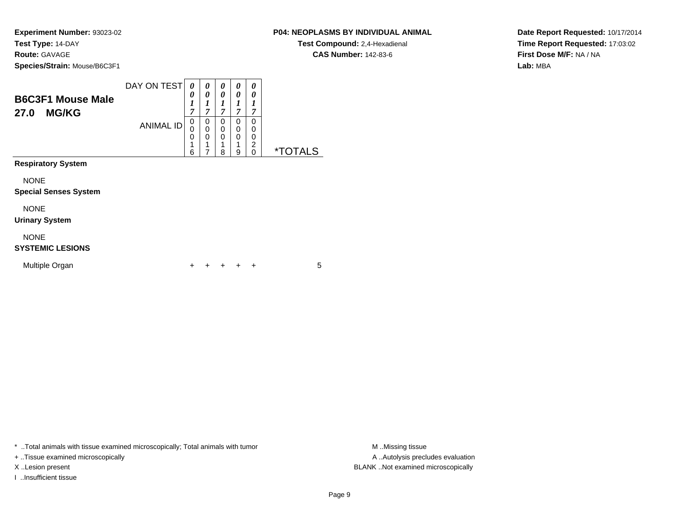## **P04: NEOPLASMS BY INDIVIDUAL ANIMAL**

**Test Compound:** 2,4-Hexadienal **CAS Number:** 142-83-6

**Date Report Requested:** 10/17/2014**Time Report Requested:** 17:03:02**First Dose M/F:** NA / NA**Lab:** MBA

| <b>B6C3F1 Mouse Male</b><br><b>MG/KG</b><br>27.0 | DAY ON TEST      | $\theta$<br>0<br>1<br>7         | 0<br>0<br>1<br>7 | 0<br>0<br>1<br>$\overline{7}$ | 0<br>0<br>1<br>$\overline{7}$ | 0<br>0<br>1<br>7             |                       |
|--------------------------------------------------|------------------|---------------------------------|------------------|-------------------------------|-------------------------------|------------------------------|-----------------------|
|                                                  | <b>ANIMAL ID</b> | 0<br>0<br>$\mathbf 0$<br>1<br>6 | 0<br>0<br>0<br>7 | 0<br>0<br>0<br>1<br>8         | 0<br>0<br>0<br>1<br>9         | 0<br>0<br>0<br>2<br>$\Omega$ | <i><b>*TOTALS</b></i> |
| <b>Respiratory System</b>                        |                  |                                 |                  |                               |                               |                              |                       |
| <b>NONE</b><br><b>Special Senses System</b>      |                  |                                 |                  |                               |                               |                              |                       |
| <b>NONE</b><br><b>Urinary System</b>             |                  |                                 |                  |                               |                               |                              |                       |
| <b>NONE</b><br><b>SYSTEMIC LESIONS</b>           |                  |                                 |                  |                               |                               |                              |                       |
| Multiple Organ                                   |                  | ┿                               |                  |                               |                               | $\div$                       | 5                     |

\* ..Total animals with tissue examined microscopically; Total animals with tumor **M** . Missing tissue M ..Missing tissue

+ ..Tissue examined microscopically

I ..Insufficient tissue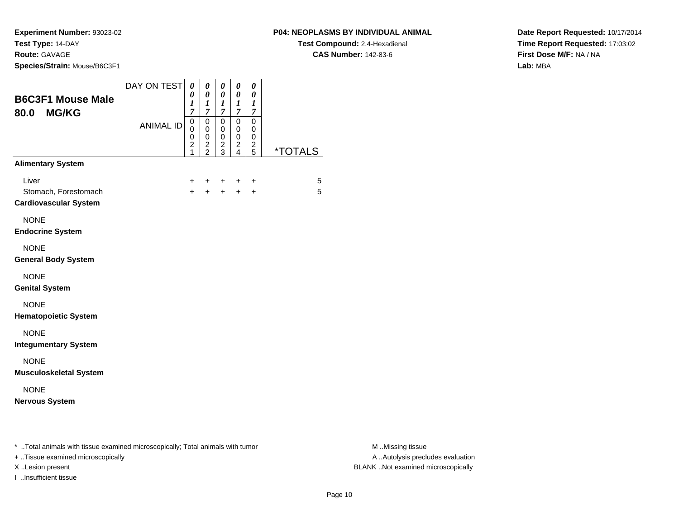**Species/Strain:** Mouse/B6C3F1

I ..Insufficient tissue

**Test Compound:** 2,4-Hexadienal **CAS Number:** 142-83-6

**Date Report Requested:** 10/17/2014**Time Report Requested:** 17:03:02**First Dose M/F:** NA / NA**Lab:** MBA

| <b>B6C3F1 Mouse Male</b><br><b>MG/KG</b><br>80.0                                                                    | DAY ON TEST<br><b>ANIMAL ID</b> | $\boldsymbol{\theta}$<br>0<br>1<br>$\overline{7}$<br>$\pmb{0}$<br>0<br>0<br>$\overline{\mathbf{c}}$<br>1 | $\pmb{\theta}$<br>0<br>$\boldsymbol{l}$<br>$\overline{7}$<br>$\pmb{0}$<br>0<br>0<br>$\frac{2}{2}$ | $\pmb{\theta}$<br>$\boldsymbol{\theta}$<br>$\boldsymbol{l}$<br>$\boldsymbol{7}$<br>$\mathbf 0$<br>0<br>0<br>$\frac{2}{3}$ | 0<br>$\pmb{\theta}$<br>$\boldsymbol{l}$<br>$\boldsymbol{7}$<br>0<br>$\pmb{0}$<br>0<br>$\frac{2}{4}$ | $\pmb{\theta}$<br>$\boldsymbol{\theta}$<br>$\boldsymbol{l}$<br>7<br>$\pmb{0}$<br>0<br>0<br>$\frac{2}{5}$ | <i><b>*TOTALS</b></i> |                                                       |
|---------------------------------------------------------------------------------------------------------------------|---------------------------------|----------------------------------------------------------------------------------------------------------|---------------------------------------------------------------------------------------------------|---------------------------------------------------------------------------------------------------------------------------|-----------------------------------------------------------------------------------------------------|----------------------------------------------------------------------------------------------------------|-----------------------|-------------------------------------------------------|
| <b>Alimentary System</b>                                                                                            |                                 |                                                                                                          |                                                                                                   |                                                                                                                           |                                                                                                     |                                                                                                          |                       |                                                       |
| Liver<br>Stomach, Forestomach<br><b>Cardiovascular System</b>                                                       |                                 | $+$                                                                                                      |                                                                                                   |                                                                                                                           | +<br>$\ddot{}$                                                                                      | +<br>$\ddot{}$                                                                                           | 5<br>5                |                                                       |
| <b>NONE</b><br><b>Endocrine System</b>                                                                              |                                 |                                                                                                          |                                                                                                   |                                                                                                                           |                                                                                                     |                                                                                                          |                       |                                                       |
| <b>NONE</b><br><b>General Body System</b>                                                                           |                                 |                                                                                                          |                                                                                                   |                                                                                                                           |                                                                                                     |                                                                                                          |                       |                                                       |
| <b>NONE</b><br><b>Genital System</b>                                                                                |                                 |                                                                                                          |                                                                                                   |                                                                                                                           |                                                                                                     |                                                                                                          |                       |                                                       |
| <b>NONE</b><br><b>Hematopoietic System</b>                                                                          |                                 |                                                                                                          |                                                                                                   |                                                                                                                           |                                                                                                     |                                                                                                          |                       |                                                       |
| <b>NONE</b><br><b>Integumentary System</b>                                                                          |                                 |                                                                                                          |                                                                                                   |                                                                                                                           |                                                                                                     |                                                                                                          |                       |                                                       |
| <b>NONE</b><br><b>Musculoskeletal System</b>                                                                        |                                 |                                                                                                          |                                                                                                   |                                                                                                                           |                                                                                                     |                                                                                                          |                       |                                                       |
| <b>NONE</b><br><b>Nervous System</b>                                                                                |                                 |                                                                                                          |                                                                                                   |                                                                                                                           |                                                                                                     |                                                                                                          |                       |                                                       |
| * Total animals with tissue examined microscopically; Total animals with tumor<br>+ Tissue examined microscopically |                                 |                                                                                                          |                                                                                                   |                                                                                                                           |                                                                                                     |                                                                                                          |                       | M Missing tissue<br>A  Autolysis precludes evaluation |

M ..Missing tissue X ..Lesion present BLANK ..Not examined microscopically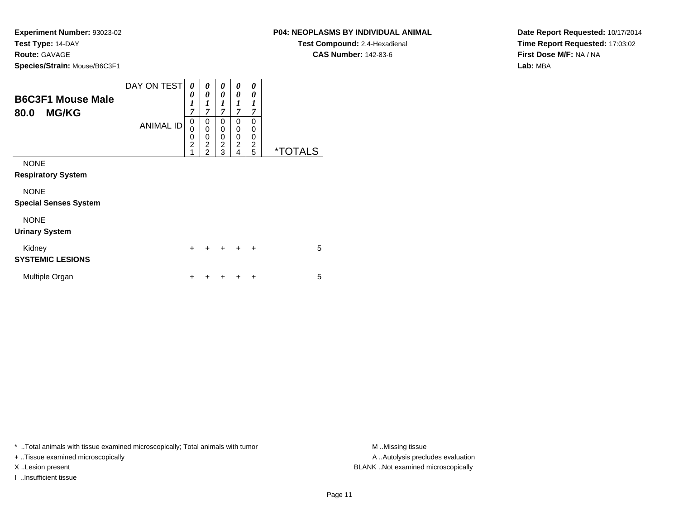#### **P04: NEOPLASMS BY INDIVIDUAL ANIMAL**

**Test Compound:** 2,4-Hexadienal **CAS Number:** 142-83-6

**Date Report Requested:** 10/17/2014**Time Report Requested:** 17:03:02**First Dose M/F:** NA / NA**Lab:** MBA

| <b>B6C3F1 Mouse Male</b><br><b>MG/KG</b><br>80.0 | DAY ON TEST<br><b>ANIMAL ID</b> | 0<br>0<br>$\boldsymbol{l}$<br>$\overline{7}$<br>$\mathbf 0$<br>0<br>0<br>$\overline{2}$<br>1 | 0<br>$\theta$<br>1<br>$\overline{7}$<br>0<br>$\mathbf 0$<br>0<br>$\overline{\mathbf{c}}$<br>$\overline{2}$ | 0<br>$\theta$<br>1<br>$\overline{7}$<br>0<br>0<br>0<br>$\overline{\mathbf{c}}$<br>3 | 0<br>0<br>1<br>$\overline{7}$<br>0<br>0<br>0<br>$\overline{c}$<br>$\overline{4}$ | 0<br>0<br>1<br>7<br>$\Omega$<br>0<br>0<br>2<br>5 | <i><b>*TOTALS</b></i> |
|--------------------------------------------------|---------------------------------|----------------------------------------------------------------------------------------------|------------------------------------------------------------------------------------------------------------|-------------------------------------------------------------------------------------|----------------------------------------------------------------------------------|--------------------------------------------------|-----------------------|
| <b>NONE</b><br><b>Respiratory System</b>         |                                 |                                                                                              |                                                                                                            |                                                                                     |                                                                                  |                                                  |                       |
| <b>NONE</b><br><b>Special Senses System</b>      |                                 |                                                                                              |                                                                                                            |                                                                                     |                                                                                  |                                                  |                       |
| <b>NONE</b><br><b>Urinary System</b>             |                                 |                                                                                              |                                                                                                            |                                                                                     |                                                                                  |                                                  |                       |
| Kidney<br><b>SYSTEMIC LESIONS</b>                |                                 | $\ddot{}$                                                                                    |                                                                                                            | $\div$                                                                              | $\div$                                                                           | $\ddot{}$                                        | 5                     |
| Multiple Organ                                   |                                 | +                                                                                            |                                                                                                            |                                                                                     |                                                                                  | +                                                | 5                     |

\* ..Total animals with tissue examined microscopically; Total animals with tumor **M** . Missing tissue M ..Missing tissue

+ ..Tissue examined microscopically

I ..Insufficient tissue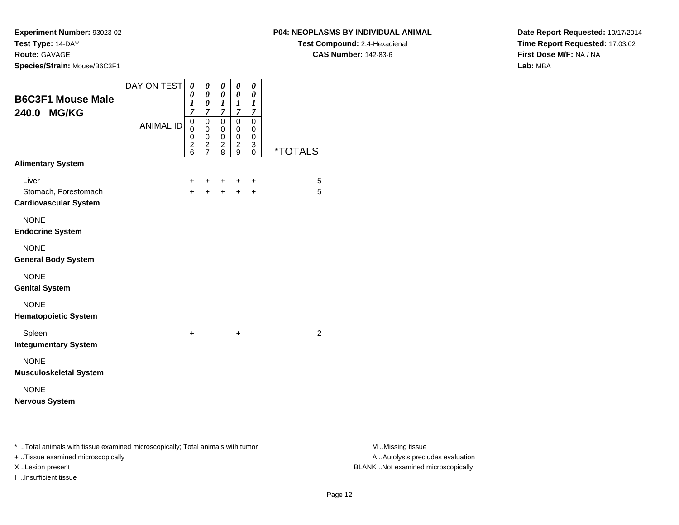#### **P04: NEOPLASMS BY INDIVIDUAL ANIMAL**

**Test Compound:** 2,4-Hexadienal **CAS Number:** 142-83-6

**Date Report Requested:** 10/17/2014**Time Report Requested:** 17:03:02**First Dose M/F:** NA / NA**Lab:** MBA

| <b>B6C3F1 Mouse Male</b><br>240.0 MG/KG                                        | DAY ON TEST      | 0<br>0<br>1<br>$\overline{7}$          | 0<br>0<br>$\boldsymbol{\theta}$<br>$\overline{7}$   | 0<br>0<br>1<br>$\overline{7}$   | 0<br>0<br>$\boldsymbol{l}$<br>7                  | 0<br>0<br>1<br>7      |                       |
|--------------------------------------------------------------------------------|------------------|----------------------------------------|-----------------------------------------------------|---------------------------------|--------------------------------------------------|-----------------------|-----------------------|
|                                                                                | <b>ANIMAL ID</b> | $\mathbf 0$<br>0<br>0<br>$\frac{2}{6}$ | $\Omega$<br>$\pmb{0}$<br>$\pmb{0}$<br>$\frac{2}{7}$ | $\mathbf 0$<br>0<br>0<br>2<br>8 | $\mathbf 0$<br>$\mathbf 0$<br>0<br>$\frac{2}{9}$ | 0<br>0<br>0<br>3<br>0 | <i><b>*TOTALS</b></i> |
| <b>Alimentary System</b>                                                       |                  |                                        |                                                     |                                 |                                                  |                       |                       |
| Liver<br>Stomach, Forestomach<br><b>Cardiovascular System</b>                  |                  | $\pm$<br>$+$                           | ٠<br>$+$                                            | $\pm$<br>$+$                    | $\pm$<br>$+$                                     | ÷<br>$\ddot{}$        | 5<br>5                |
| <b>NONE</b><br><b>Endocrine System</b>                                         |                  |                                        |                                                     |                                 |                                                  |                       |                       |
| <b>NONE</b><br><b>General Body System</b>                                      |                  |                                        |                                                     |                                 |                                                  |                       |                       |
| <b>NONE</b><br><b>Genital System</b>                                           |                  |                                        |                                                     |                                 |                                                  |                       |                       |
| <b>NONE</b><br><b>Hematopoietic System</b>                                     |                  |                                        |                                                     |                                 |                                                  |                       |                       |
| Spleen<br><b>Integumentary System</b>                                          |                  | $\ddot{}$                              |                                                     |                                 | $\ddot{}$                                        |                       | 2                     |
| <b>NONE</b><br><b>Musculoskeletal System</b>                                   |                  |                                        |                                                     |                                 |                                                  |                       |                       |
| <b>NONE</b><br><b>Nervous System</b>                                           |                  |                                        |                                                     |                                 |                                                  |                       |                       |
| * Total animals with tissue examined microscopically; Total animals with tumor |                  |                                        |                                                     |                                 |                                                  |                       |                       |

+ ..Tissue examined microscopically

I ..Insufficient tissue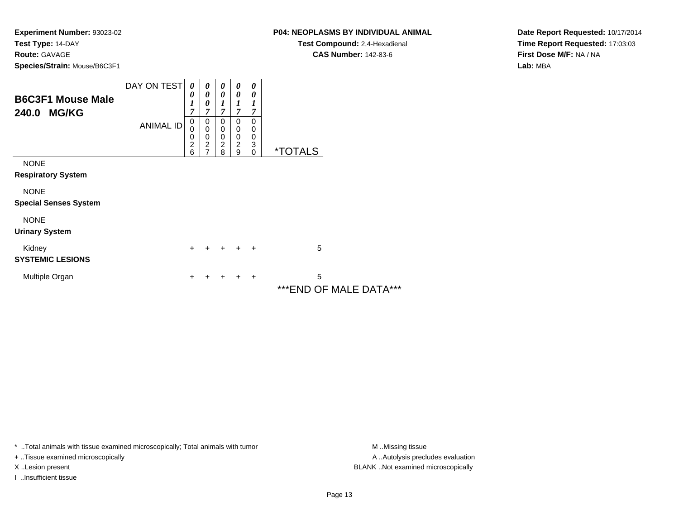## **P04: NEOPLASMS BY INDIVIDUAL ANIMAL**

**Test Compound:** 2,4-Hexadienal **CAS Number:** 142-83-6

**Date Report Requested:** 10/17/2014**Time Report Requested:** 17:03:03**First Dose M/F:** NA / NA**Lab:** MBA

| <b>B6C3F1 Mouse Male</b><br>240.0 MG/KG     | DAY ON TEST<br><b>ANIMAL ID</b> | 0<br>0<br>1<br>7<br>0   | 0<br>0<br>0<br>7<br>0                            | 0<br>0<br>7<br>0                       | 0<br>0<br>1<br>$\overline{7}$<br>0    | 0<br>0<br>7<br>$\Omega$ |                                 |
|---------------------------------------------|---------------------------------|-------------------------|--------------------------------------------------|----------------------------------------|---------------------------------------|-------------------------|---------------------------------|
|                                             |                                 | 0<br>0<br>$\frac{2}{6}$ | $\mathbf 0$<br>0<br>$\overline{\mathbf{c}}$<br>7 | 0<br>0<br>$\overline{\mathbf{c}}$<br>8 | 0<br>$\pmb{0}$<br>$\overline{c}$<br>9 | 0<br>0<br>3<br>$\Omega$ | <i><b>*TOTALS</b></i>           |
| <b>NONE</b><br><b>Respiratory System</b>    |                                 |                         |                                                  |                                        |                                       |                         |                                 |
| <b>NONE</b><br><b>Special Senses System</b> |                                 |                         |                                                  |                                        |                                       |                         |                                 |
| <b>NONE</b><br><b>Urinary System</b>        |                                 |                         |                                                  |                                        |                                       |                         |                                 |
| Kidney<br><b>SYSTEMIC LESIONS</b>           |                                 | $\ddot{}$               |                                                  |                                        | $\ddot{}$                             | $\ddot{}$               | 5                               |
| Multiple Organ                              |                                 | +                       |                                                  |                                        |                                       | ٠                       | 5<br>F 8 4 A L F R A<br>***⊏*IN |

\*\*\*END OF MALE DATA\*\*\*

\* ..Total animals with tissue examined microscopically; Total animals with tumor **M** . Missing tissue M ..Missing tissue

+ ..Tissue examined microscopically

I ..Insufficient tissue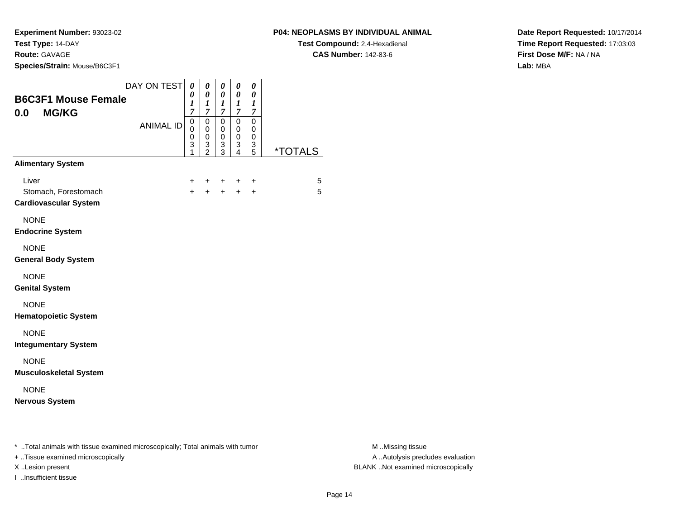**Experiment Number:** 93023-02**Test Type:** 14-DAY

### **Route:** GAVAGE

I ..Insufficient tissue

**Species/Strain:** Mouse/B6C3F1

**Test Compound:** 2,4-Hexadienal **CAS Number:** 142-83-6

**Date Report Requested:** 10/17/2014**Time Report Requested:** 17:03:03**First Dose M/F:** NA / NA**Lab:** MBA

| DAY ON TEST<br><b>B6C3F1 Mouse Female</b><br><b>MG/KG</b><br>0.0<br><b>ANIMAL ID</b>                                | $\boldsymbol{\theta}$<br>0<br>$\boldsymbol{l}$<br>$\overline{7}$<br>$\,0\,$<br>0<br>0<br>$\ensuremath{\mathsf{3}}$<br>1 | 0<br>0<br>$\boldsymbol{l}$<br>$\boldsymbol{7}$<br>$\pmb{0}$<br>$\pmb{0}$<br>0<br>$\frac{3}{2}$ | $\boldsymbol{\theta}$<br>$\boldsymbol{\theta}$<br>$\boldsymbol{l}$<br>$\overline{7}$<br>$\mathbf 0$<br>0<br>0<br>$\frac{3}{3}$ | 0<br>$\pmb{\theta}$<br>$\boldsymbol{l}$<br>$\boldsymbol{7}$<br>$\pmb{0}$<br>$\pmb{0}$<br>$\pmb{0}$<br>$\frac{3}{4}$ | 0<br>0<br>$\boldsymbol{l}$<br>$\boldsymbol{7}$<br>$\pmb{0}$<br>0<br>0<br>$\frac{3}{5}$ | <i><b>*TOTALS</b></i> |                                                       |
|---------------------------------------------------------------------------------------------------------------------|-------------------------------------------------------------------------------------------------------------------------|------------------------------------------------------------------------------------------------|--------------------------------------------------------------------------------------------------------------------------------|---------------------------------------------------------------------------------------------------------------------|----------------------------------------------------------------------------------------|-----------------------|-------------------------------------------------------|
| <b>Alimentary System</b>                                                                                            |                                                                                                                         |                                                                                                |                                                                                                                                |                                                                                                                     |                                                                                        |                       |                                                       |
| Liver<br>Stomach, Forestomach<br><b>Cardiovascular System</b>                                                       | +<br>$\ddot{}$                                                                                                          | +<br>$\ddot{}$                                                                                 | +<br>$+$                                                                                                                       | +<br>$+$                                                                                                            | +<br>$+$                                                                               | 5<br>5                |                                                       |
| <b>NONE</b><br><b>Endocrine System</b>                                                                              |                                                                                                                         |                                                                                                |                                                                                                                                |                                                                                                                     |                                                                                        |                       |                                                       |
| <b>NONE</b><br><b>General Body System</b>                                                                           |                                                                                                                         |                                                                                                |                                                                                                                                |                                                                                                                     |                                                                                        |                       |                                                       |
| <b>NONE</b><br><b>Genital System</b>                                                                                |                                                                                                                         |                                                                                                |                                                                                                                                |                                                                                                                     |                                                                                        |                       |                                                       |
| <b>NONE</b><br><b>Hematopoietic System</b>                                                                          |                                                                                                                         |                                                                                                |                                                                                                                                |                                                                                                                     |                                                                                        |                       |                                                       |
| <b>NONE</b><br><b>Integumentary System</b>                                                                          |                                                                                                                         |                                                                                                |                                                                                                                                |                                                                                                                     |                                                                                        |                       |                                                       |
| <b>NONE</b><br><b>Musculoskeletal System</b>                                                                        |                                                                                                                         |                                                                                                |                                                                                                                                |                                                                                                                     |                                                                                        |                       |                                                       |
| <b>NONE</b><br><b>Nervous System</b>                                                                                |                                                                                                                         |                                                                                                |                                                                                                                                |                                                                                                                     |                                                                                        |                       |                                                       |
| * Total animals with tissue examined microscopically; Total animals with tumor<br>+ Tissue examined microscopically |                                                                                                                         |                                                                                                |                                                                                                                                |                                                                                                                     |                                                                                        |                       | M Missing tissue<br>A  Autolysis precludes evaluation |

M ..Missing tissue X ..Lesion present BLANK ..Not examined microscopically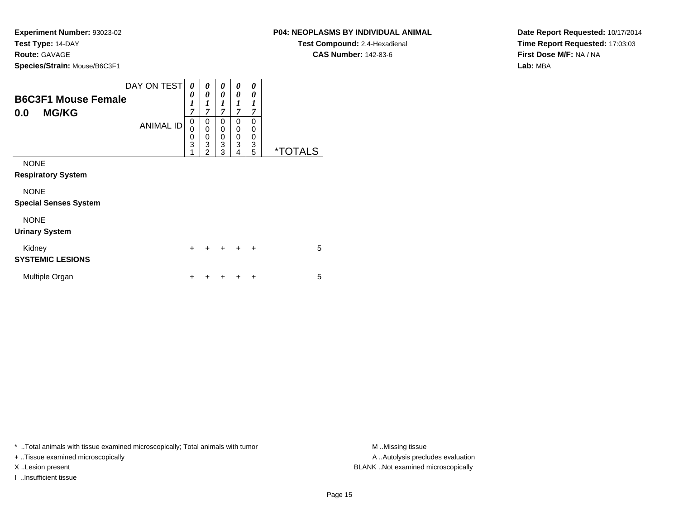**Species/Strain:** Mouse/B6C3F1

|                                                   | DAY ON TEST      | $\boldsymbol{\theta}$ | 0                     | 0                               | 0                     | 0                     |                       |
|---------------------------------------------------|------------------|-----------------------|-----------------------|---------------------------------|-----------------------|-----------------------|-----------------------|
| <b>B6C3F1 Mouse Female</b><br><b>MG/KG</b><br>0.0 |                  | 0<br>1<br>7           | 0<br>1<br>7           | $\boldsymbol{\theta}$<br>1<br>7 | 0<br>1<br>7           | 0<br>7                |                       |
|                                                   | <b>ANIMAL ID</b> | 0<br>0<br>0<br>3      | 0<br>0<br>0<br>3<br>2 | 0<br>0<br>$\mathbf 0$<br>3<br>3 | 0<br>0<br>0<br>3<br>4 | 0<br>0<br>0<br>3<br>5 | <i><b>*TOTALS</b></i> |
| <b>NONE</b><br><b>Respiratory System</b>          |                  |                       |                       |                                 |                       |                       |                       |
| <b>NONE</b><br><b>Special Senses System</b>       |                  |                       |                       |                                 |                       |                       |                       |
| <b>NONE</b><br><b>Urinary System</b>              |                  |                       |                       |                                 |                       |                       |                       |

| Kidnev<br><b>SYSTEMIC LESIONS</b> |  | + + + + + |  | 5 |
|-----------------------------------|--|-----------|--|---|
| Multiple Organ                    |  | + + + + + |  | 5 |

\* ..Total animals with tissue examined microscopically; Total animals with tumor **M** . Missing tissue M ..Missing tissue

+ ..Tissue examined microscopically

I ..Insufficient tissue

**P04: NEOPLASMS BY INDIVIDUAL ANIMAL**

**Test Compound:** 2,4-Hexadienal **CAS Number:** 142-83-6

**Date Report Requested:** 10/17/2014**Time Report Requested:** 17:03:03**First Dose M/F:** NA / NA**Lab:** MBA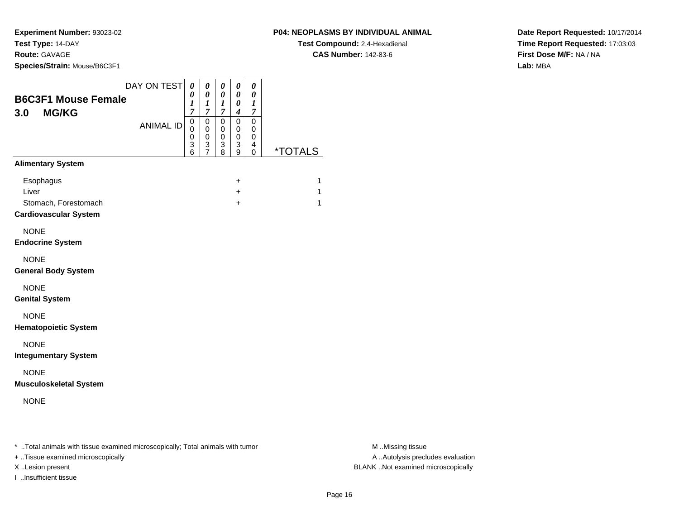**Experiment Number:** 93023-02**Test Type:** 14-DAY

#### **Route:** GAVAGE

**Species/Strain:** Mouse/B6C3F1

#### DAY ON TEST**B6C3F1 Mouse Female3.0 MG/KG**ANIMAL ID*0 0 1 7*0<br>0<br>0<br>3<br>6<br>0<br>3 *0 0 1 7*0<br>0<br>0<br>3<br>7 *0 0 1 7* 0 0 0 3 8*0 0 0 4* 0 0 0 3 9*0 0 1 7* 0 00<br>4<br>^ 0 \*TOTALS**Alimentary System** <sup>+</sup> $+$  1  $\mathbf{r}$  +  $+$  1 Stomach, Forestomach $h$  +  $+$  1 **Cardiovascular System Endocrine SystemGeneral Body System**

NONE

**Genital System**

**Esophagus** 

Liver

NONE

NONE

NONE

**Hematopoietic System**

NONE

**Integumentary System**

NONE

**Musculoskeletal System**

NONE

\* ..Total animals with tissue examined microscopically; Total animals with tumor **M** ..Missing tissue M ..Missing tissue

+ ..Tissue examined microscopically

I ..Insufficient tissue

A .. Autolysis precludes evaluation X ..Lesion present BLANK ..Not examined microscopically

**CAS Number:** 142-83-6

**P04: NEOPLASMS BY INDIVIDUAL ANIMALTest Compound:** 2,4-Hexadienal

**Date Report Requested:** 10/17/2014**Time Report Requested:** 17:03:03**First Dose M/F:** NA / NA**Lab:** MBA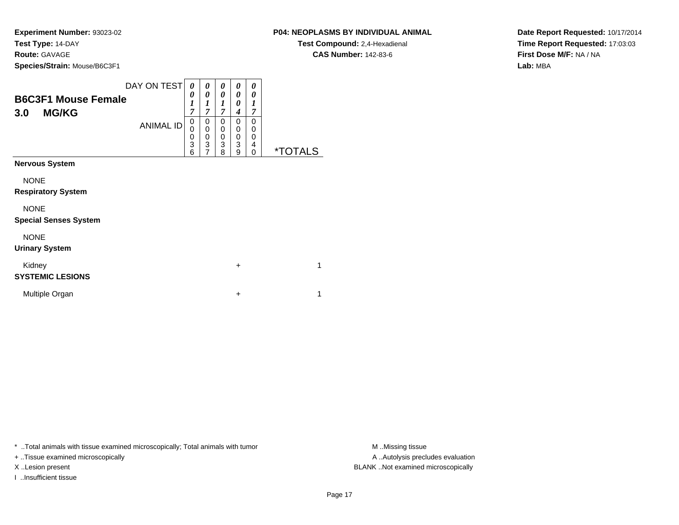**Species/Strain:** Mouse/B6C3F1

| <b>B6C3F1 Mouse Female</b><br><b>MG/KG</b><br>3.0                                                      | DAY ON TEST<br><b>ANIMAL ID</b> | $\boldsymbol{\theta}$<br>0<br>1<br>7<br>0<br>0<br>0<br>3 | 0<br>0<br>1<br>$\overline{7}$<br>0<br>0<br>0<br>3 | 0<br>0<br>1<br>$\overline{7}$<br>0<br>$\mathbf 0$<br>0<br>3 | 0<br>0<br>0<br>4<br>0<br>$\mathbf 0$<br>$\mathbf 0$<br>3 | 0<br>0<br>1<br>$\overline{7}$<br>$\Omega$<br>$\Omega$<br>0<br>4 |                       |
|--------------------------------------------------------------------------------------------------------|---------------------------------|----------------------------------------------------------|---------------------------------------------------|-------------------------------------------------------------|----------------------------------------------------------|-----------------------------------------------------------------|-----------------------|
| <b>Nervous System</b>                                                                                  |                                 | 6                                                        | $\overline{7}$                                    | 8                                                           | 9                                                        | 0                                                               | <i><b>*TOTALS</b></i> |
| <b>NONE</b><br><b>Respiratory System</b><br><b>NONE</b><br><b>Special Senses System</b><br><b>NONE</b> |                                 |                                                          |                                                   |                                                             |                                                          |                                                                 |                       |
| <b>Urinary System</b><br>Kidney<br><b>SYSTEMIC LESIONS</b>                                             |                                 |                                                          |                                                   |                                                             | $\ddot{}$                                                |                                                                 | 1                     |
| Multiple Organ                                                                                         |                                 |                                                          |                                                   |                                                             | $\ddot{}$                                                |                                                                 | 1                     |

\* ..Total animals with tissue examined microscopically; Total animals with tumor **M** . Missing tissue M ..Missing tissue

+ ..Tissue examined microscopically

I ..Insufficient tissue

**P04: NEOPLASMS BY INDIVIDUAL ANIMAL**

**Test Compound:** 2,4-Hexadienal **CAS Number:** 142-83-6

**Date Report Requested:** 10/17/2014**Time Report Requested:** 17:03:03**First Dose M/F:** NA / NA**Lab:** MBA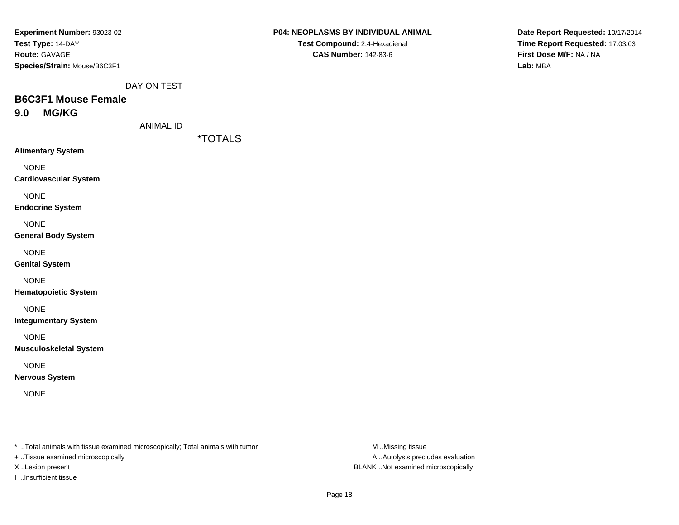| Experiment Number: 93023-02  |
|------------------------------|
| Test Type: 14-DAY            |
| <b>Route: GAVAGE</b>         |
| Species/Strain: Mouse/B6C3F1 |

DAY ON TEST

# **B6C3F1 Mouse Female9.0 MG/KG**

ANIMAL ID

\*TOTALS

**Alimentary System**

NONE

**Cardiovascular System**

NONE

**Endocrine System**

NONE

**General Body System**

NONE

**Genital System**

NONE

**Hematopoietic System**

NONE

**Integumentary System**

NONE

**Musculoskeletal System**

NONE

**Nervous System**

NONE

\* ..Total animals with tissue examined microscopically; Total animals with tumor **M** ..Missing tissue M ..Missing tissue

+ ..Tissue examined microscopically

I ..Insufficient tissue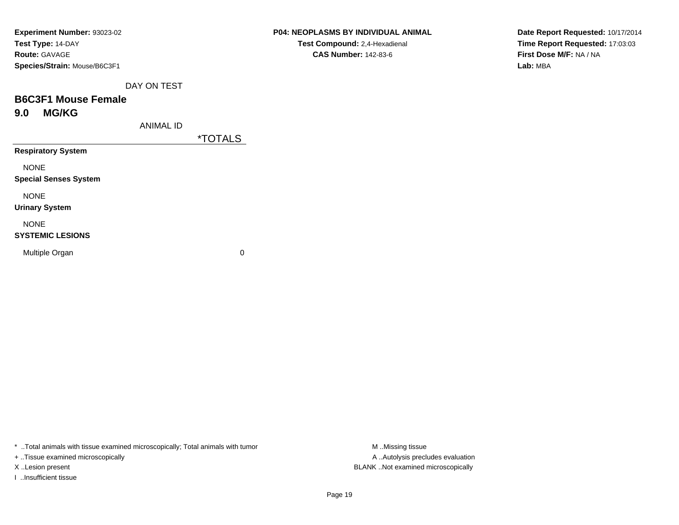| Experiment Number: 93023-02  |
|------------------------------|
| Test Type: 14-DAY            |
| <b>Route: GAVAGE</b>         |
| Species/Strain: Mouse/B6C3F1 |

DAY ON TEST

# **B6C3F1 Mouse Female9.0 MG/KG**

ANIMAL ID

\*TOTALS

**Respiratory System**

NONE

**Special Senses System**

NONE

**Urinary System**

NONE

#### **SYSTEMIC LESIONS**

Multiple Organ

 $\mathbf n$  0

\* ..Total animals with tissue examined microscopically; Total animals with tumor **M** ...Missing tissue M ...Missing tissue

+ ..Tissue examined microscopically

I ..Insufficient tissue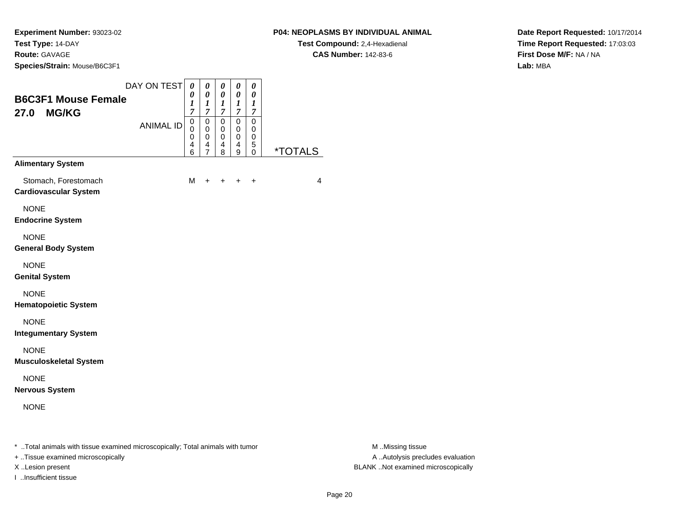## **P04: NEOPLASMS BY INDIVIDUAL ANIMAL**

**Test Compound:** 2,4-Hexadienal **CAS Number:** 142-83-6

**Date Report Requested:** 10/17/2014**Time Report Requested:** 17:03:03**First Dose M/F:** NA / NA**Lab:** MBA

| <b>B6C3F1 Mouse Female</b><br><b>MG/KG</b><br>27.0   | DAY ON TEST      | $\boldsymbol{\theta}$<br>0<br>$\boldsymbol{l}$<br>$\overline{7}$ | 0<br>$\boldsymbol{\theta}$<br>$\boldsymbol{l}$<br>7              | 0<br>0<br>$\boldsymbol{l}$<br>7                     | 0<br>0<br>1<br>$\overline{7}$           | 0<br>0<br>$\boldsymbol{l}$<br>7 |                       |
|------------------------------------------------------|------------------|------------------------------------------------------------------|------------------------------------------------------------------|-----------------------------------------------------|-----------------------------------------|---------------------------------|-----------------------|
|                                                      | <b>ANIMAL ID</b> | $\mathbf 0$<br>0<br>0<br>$\overline{\mathbf{4}}$<br>6            | $\mathbf 0$<br>$\mathbf 0$<br>$\mathbf 0$<br>4<br>$\overline{7}$ | $\mathbf 0$<br>$\mathbf 0$<br>$\mathbf 0$<br>4<br>8 | $\mathbf 0$<br>0<br>$\pmb{0}$<br>4<br>9 | 0<br>0<br>0<br>5<br>0           | <i><b>*TOTALS</b></i> |
| <b>Alimentary System</b>                             |                  |                                                                  |                                                                  |                                                     |                                         |                                 |                       |
| Stomach, Forestomach<br><b>Cardiovascular System</b> |                  | М                                                                | +                                                                | $\pm$                                               | $\ddot{}$                               | +                               | 4                     |
| <b>NONE</b><br><b>Endocrine System</b>               |                  |                                                                  |                                                                  |                                                     |                                         |                                 |                       |
| <b>NONE</b><br><b>General Body System</b>            |                  |                                                                  |                                                                  |                                                     |                                         |                                 |                       |
| <b>NONE</b><br><b>Genital System</b>                 |                  |                                                                  |                                                                  |                                                     |                                         |                                 |                       |
| <b>NONE</b><br><b>Hematopoietic System</b>           |                  |                                                                  |                                                                  |                                                     |                                         |                                 |                       |
| <b>NONE</b><br><b>Integumentary System</b>           |                  |                                                                  |                                                                  |                                                     |                                         |                                 |                       |
| <b>NONE</b><br><b>Musculoskeletal System</b>         |                  |                                                                  |                                                                  |                                                     |                                         |                                 |                       |
| <b>NONE</b><br><b>Nervous System</b>                 |                  |                                                                  |                                                                  |                                                     |                                         |                                 |                       |
| <b>NONE</b>                                          |                  |                                                                  |                                                                  |                                                     |                                         |                                 |                       |

+ ..Tissue examined microscopically

I ..Insufficient tissue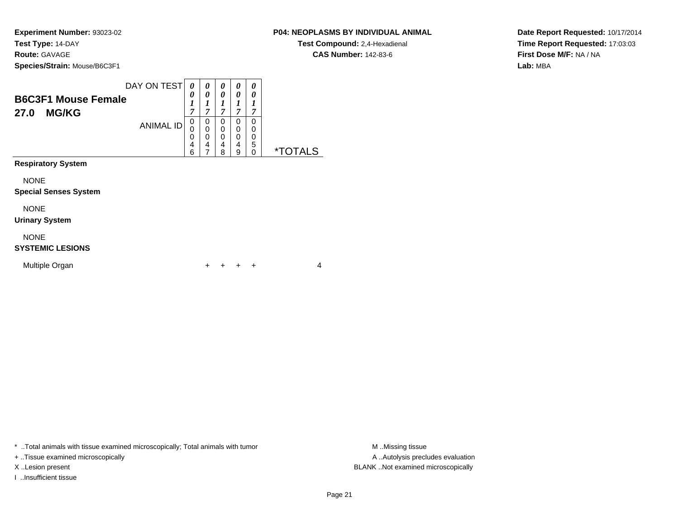## **P04: NEOPLASMS BY INDIVIDUAL ANIMAL**

**Test Compound:** 2,4-Hexadienal **CAS Number:** 142-83-6

**Date Report Requested:** 10/17/2014**Time Report Requested:** 17:03:03**First Dose M/F:** NA / NA**Lab:** MBA

| <b>B6C3F1 Mouse Female</b><br><b>MG/KG</b><br>27.0                       | DAY ON TEST<br><b>ANIMAL ID</b> | 0<br>0<br>1<br>7<br>0<br>0<br>0<br>4<br>6 | 0<br>0<br>1<br>7<br>0<br>0<br>0<br>4<br>7 | 0<br>0<br>1<br>7<br>0<br>0<br>0<br>4<br>8 | 0<br>0<br>1<br>7<br>0<br>0<br>0<br>4<br>9 | 0<br>0<br>1<br>7<br>0<br>0<br>0<br>5<br>0 | <i><b>*TOTALS</b></i> |
|--------------------------------------------------------------------------|---------------------------------|-------------------------------------------|-------------------------------------------|-------------------------------------------|-------------------------------------------|-------------------------------------------|-----------------------|
| <b>Respiratory System</b><br><b>NONE</b><br><b>Special Senses System</b> |                                 |                                           |                                           |                                           |                                           |                                           |                       |
| <b>NONE</b><br><b>Urinary System</b>                                     |                                 |                                           |                                           |                                           |                                           |                                           |                       |
| <b>NONE</b><br><b>SYSTEMIC LESIONS</b>                                   |                                 |                                           |                                           |                                           |                                           |                                           |                       |
| Multiple Organ                                                           |                                 |                                           | ┿                                         |                                           |                                           | ÷                                         | 4                     |

\* ..Total animals with tissue examined microscopically; Total animals with tumor **M** . Missing tissue M ..Missing tissue

+ ..Tissue examined microscopically

I ..Insufficient tissue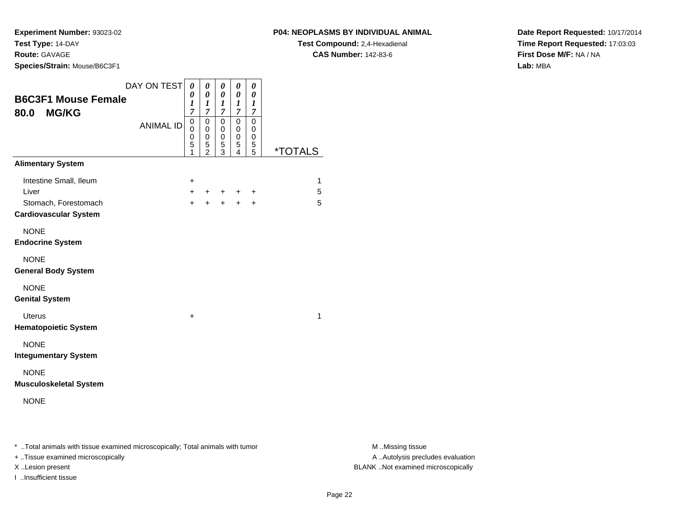**Species/Strain:** Mouse/B6C3F1

**Test Compound:** 2,4-Hexadienal **CAS Number:** 142-83-6

**Date Report Requested:** 10/17/2014**Time Report Requested:** 17:03:03**First Dose M/F:** NA / NA**Lab:** MBA

| <b>B6C3F1 Mouse Female</b><br><b>MG/KG</b><br>80.0                                      | DAY ON TEST      | $\boldsymbol{\theta}$<br>0<br>1<br>7               | 0<br>0<br>1<br>7                                       | 0<br>0<br>1<br>$\overline{\mathcal{I}}$ | 0<br>0<br>1<br>7      | 0<br>0<br>1<br>7                |                       |
|-----------------------------------------------------------------------------------------|------------------|----------------------------------------------------|--------------------------------------------------------|-----------------------------------------|-----------------------|---------------------------------|-----------------------|
|                                                                                         | <b>ANIMAL ID</b> | $\mbox{O}$<br>$\mathbf 0$<br>$\mathbf 0$<br>5<br>1 | 0<br>$\mathbf 0$<br>0<br>$\mathbf 5$<br>$\overline{2}$ | 0<br>0<br>0<br>5<br>3                   | 0<br>0<br>0<br>5<br>4 | $\mathbf 0$<br>0<br>0<br>5<br>5 | <i><b>*TOTALS</b></i> |
| <b>Alimentary System</b>                                                                |                  |                                                    |                                                        |                                         |                       |                                 |                       |
| Intestine Small, Ileum<br>Liver<br>Stomach, Forestomach<br><b>Cardiovascular System</b> |                  | +<br>$+$<br>$\ddot{}$                              | $+$<br>$+$                                             | $+$<br>$\ddot{}$                        | $\pm$<br>$\ddot{}$    | +<br>$\ddot{}$                  | 1<br>5<br>5           |
| <b>NONE</b><br><b>Endocrine System</b>                                                  |                  |                                                    |                                                        |                                         |                       |                                 |                       |
| <b>NONE</b><br><b>General Body System</b>                                               |                  |                                                    |                                                        |                                         |                       |                                 |                       |
| <b>NONE</b><br><b>Genital System</b>                                                    |                  |                                                    |                                                        |                                         |                       |                                 |                       |
| <b>Uterus</b><br><b>Hematopoietic System</b>                                            |                  | $\ddot{}$                                          |                                                        |                                         |                       |                                 | $\mathbf{1}$          |
| <b>NONE</b><br><b>Integumentary System</b>                                              |                  |                                                    |                                                        |                                         |                       |                                 |                       |
| <b>NONE</b><br><b>Musculoskeletal System</b>                                            |                  |                                                    |                                                        |                                         |                       |                                 |                       |
| <b>NONE</b>                                                                             |                  |                                                    |                                                        |                                         |                       |                                 |                       |
|                                                                                         |                  |                                                    |                                                        |                                         |                       |                                 |                       |

\* ..Total animals with tissue examined microscopically; Total animals with tumor **M** . Missing tissue M ..Missing tissue

+ ..Tissue examined microscopically

I ..Insufficient tissue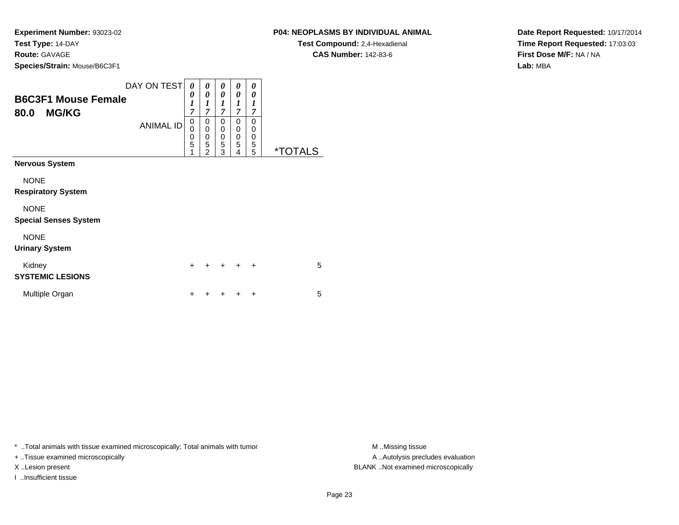## **P04: NEOPLASMS BY INDIVIDUAL ANIMAL**

**Test Compound:** 2,4-Hexadienal **CAS Number:** 142-83-6

**Date Report Requested:** 10/17/2014**Time Report Requested:** 17:03:03**First Dose M/F:** NA / NA**Lab:** MBA

| <b>B6C3F1 Mouse Female</b><br><b>MG/KG</b><br>80.0 | DAY ON TEST<br><b>ANIMAL ID</b> | 0<br>0<br>1<br>$\overline{7}$<br>0<br>0<br>0<br>5<br>1 | 0<br>0<br>1<br>$\overline{7}$<br>0<br>0<br>0<br>5<br>$\overline{2}$ | 0<br>0<br>1<br>$\overline{7}$<br>0<br>$\mathbf 0$<br>$\mathbf 0$<br>5<br>3 | 0<br>0<br>1<br>$\overline{7}$<br>$\Omega$<br>0<br>$\mathbf 0$<br>5<br>4 | 0<br>0<br>1<br>7<br>0<br>0<br>0<br>5<br>5 | <i><b>*TOTALS</b></i> |
|----------------------------------------------------|---------------------------------|--------------------------------------------------------|---------------------------------------------------------------------|----------------------------------------------------------------------------|-------------------------------------------------------------------------|-------------------------------------------|-----------------------|
| <b>Nervous System</b>                              |                                 |                                                        |                                                                     |                                                                            |                                                                         |                                           |                       |
| <b>NONE</b><br><b>Respiratory System</b>           |                                 |                                                        |                                                                     |                                                                            |                                                                         |                                           |                       |
| <b>NONE</b><br><b>Special Senses System</b>        |                                 |                                                        |                                                                     |                                                                            |                                                                         |                                           |                       |
| <b>NONE</b><br><b>Urinary System</b>               |                                 |                                                        |                                                                     |                                                                            |                                                                         |                                           |                       |
| Kidney<br><b>SYSTEMIC LESIONS</b>                  |                                 | $\div$                                                 | $\ddot{}$                                                           | +                                                                          | $\pm$                                                                   | $\ddot{}$                                 | 5                     |
| Multiple Organ                                     |                                 |                                                        |                                                                     |                                                                            |                                                                         | +                                         | 5                     |

\* ..Total animals with tissue examined microscopically; Total animals with tumor **M** . Missing tissue M ..Missing tissue

+ ..Tissue examined microscopically

I ..Insufficient tissue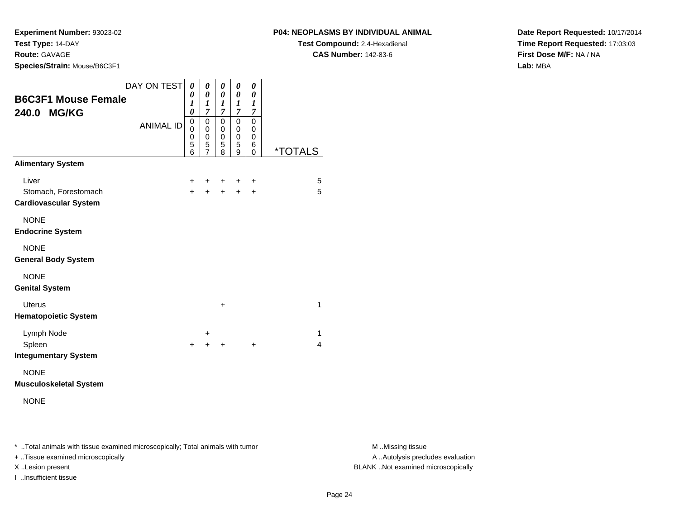**P04: NEOPLASMS BY INDIVIDUAL ANIMAL**

**Test Compound:** 2,4-Hexadienal **CAS Number:** 142-83-6

**Date Report Requested:** 10/17/2014**Time Report Requested:** 17:03:03**First Dose M/F:** NA / NA**Lab:** MBA

| <b>B6C3F1 Mouse Female</b>                           | DAY ON TEST      | 0<br>0                     | 0<br>0                                  | 0<br>0                                  | 0<br>0                                  | 0<br>0                                  |                       |
|------------------------------------------------------|------------------|----------------------------|-----------------------------------------|-----------------------------------------|-----------------------------------------|-----------------------------------------|-----------------------|
| 240.0 MG/KG                                          | <b>ANIMAL ID</b> | 1<br>0<br>0<br>0<br>0<br>5 | 1<br>$\overline{7}$<br>0<br>0<br>0<br>5 | 1<br>$\overline{7}$<br>0<br>0<br>0<br>5 | 1<br>$\overline{7}$<br>0<br>0<br>0<br>5 | 1<br>$\overline{7}$<br>0<br>0<br>0<br>6 |                       |
|                                                      |                  | 6                          | $\overline{7}$                          | 8                                       | 9                                       | 0                                       | <i><b>*TOTALS</b></i> |
| <b>Alimentary System</b>                             |                  |                            |                                         |                                         |                                         |                                         |                       |
| Liver                                                |                  | ÷                          | ٠                                       | ٠                                       |                                         | ÷                                       | 5                     |
| Stomach, Forestomach<br><b>Cardiovascular System</b> |                  | $\ddot{}$                  | $\ddot{}$                               | $\ddot{}$                               | $\ddot{}$                               | $\ddot{}$                               | 5                     |
| <b>NONE</b><br><b>Endocrine System</b>               |                  |                            |                                         |                                         |                                         |                                         |                       |
| <b>NONE</b><br><b>General Body System</b>            |                  |                            |                                         |                                         |                                         |                                         |                       |
| <b>NONE</b><br><b>Genital System</b>                 |                  |                            |                                         |                                         |                                         |                                         |                       |
| <b>Uterus</b><br><b>Hematopoietic System</b>         |                  |                            |                                         | $\ddot{}$                               |                                         |                                         | 1                     |
| Lymph Node                                           |                  |                            | $\ddot{}$                               |                                         |                                         |                                         | 1                     |
| Spleen<br><b>Integumentary System</b>                |                  | +                          | $\ddot{}$                               | +                                       |                                         | $\ddot{}$                               | 4                     |
| <b>NONE</b><br><b>Musculoskeletal System</b>         |                  |                            |                                         |                                         |                                         |                                         |                       |

NONE

\* ..Total animals with tissue examined microscopically; Total animals with tumor **M** . Missing tissue M ..Missing tissue

+ ..Tissue examined microscopically

I ..Insufficient tissue